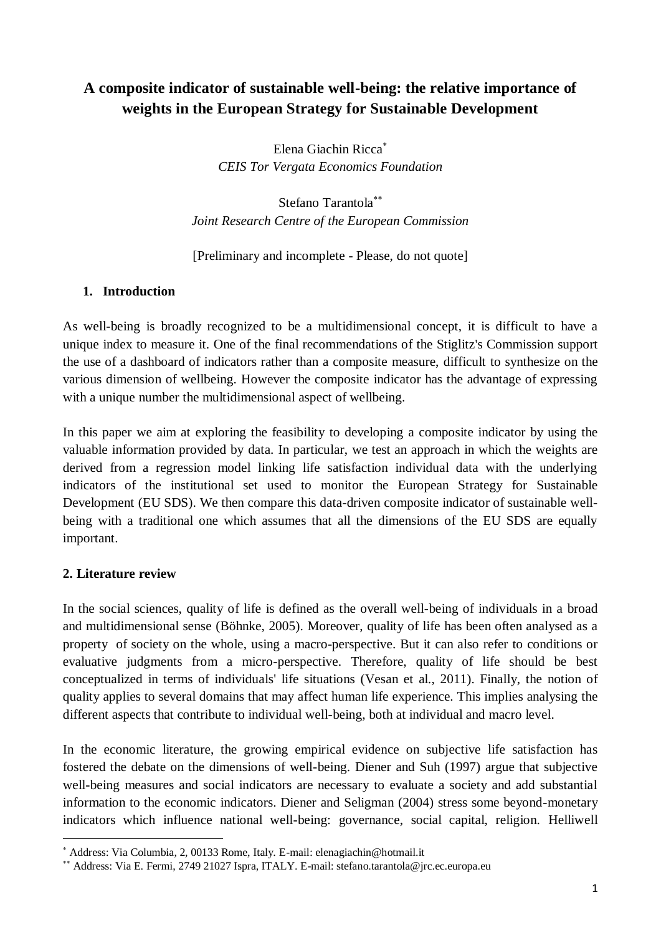# **A composite indicator of sustainable well-being: the relative importance of weights in the European Strategy for Sustainable Development**

Elena Giachin Ricca *CEIS Tor Vergata Economics Foundation*

Stefano Tarantola *Joint Research Centre of the European Commission*

[Preliminary and incomplete - Please, do not quote]

# **1. Introduction**

As well-being is broadly recognized to be a multidimensional concept, it is difficult to have a unique index to measure it. One of the final recommendations of the Stiglitz's Commission support the use of a dashboard of indicators rather than a composite measure, difficult to synthesize on the various dimension of wellbeing. However the composite indicator has the advantage of expressing with a unique number the multidimensional aspect of wellbeing.

In this paper we aim at exploring the feasibility to developing a composite indicator by using the valuable information provided by data. In particular, we test an approach in which the weights are derived from a regression model linking life satisfaction individual data with the underlying indicators of the institutional set used to monitor the European Strategy for Sustainable Development (EU SDS). We then compare this data-driven composite indicator of sustainable wellbeing with a traditional one which assumes that all the dimensions of the EU SDS are equally important.

# **2. Literature review**

1

In the social sciences, quality of life is defined as the overall well-being of individuals in a broad and multidimensional sense (Böhnke, 2005). Moreover, quality of life has been often analysed as a property of society on the whole, using a macro-perspective. But it can also refer to conditions or evaluative judgments from a micro-perspective. Therefore, quality of life should be best conceptualized in terms of individuals' life situations (Vesan et al., 2011). Finally, the notion of quality applies to several domains that may affect human life experience. This implies analysing the different aspects that contribute to individual well-being, both at individual and macro level.

In the economic literature, the growing empirical evidence on subjective life satisfaction has fostered the debate on the dimensions of well-being. Diener and Suh (1997) argue that subjective well-being measures and social indicators are necessary to evaluate a society and add substantial information to the economic indicators. Diener and Seligman (2004) stress some beyond-monetary indicators which influence national well-being: governance, social capital, religion. Helliwell

Address: Via Columbia, 2, 00133 Rome, Italy. E-mail: elenagiachin@hotmail.it

Address: Via E. Fermi, 2749 21027 Ispra, ITALY. E-mail: stefano.tarantola@jrc.ec.europa.eu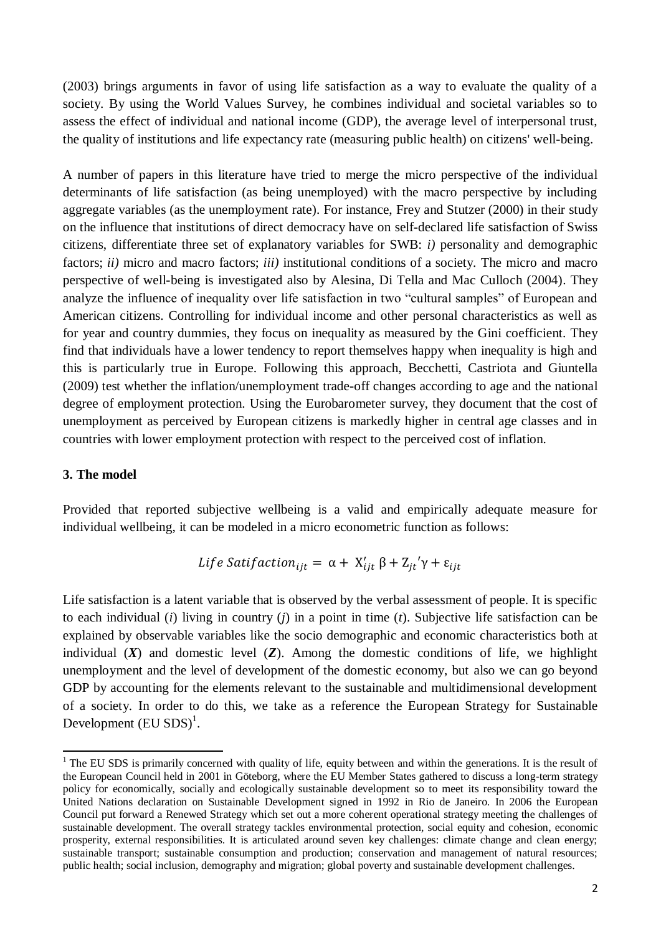(2003) brings arguments in favor of using life satisfaction as a way to evaluate the quality of a society. By using the World Values Survey, he combines individual and societal variables so to assess the effect of individual and national income (GDP), the average level of interpersonal trust, the quality of institutions and life expectancy rate (measuring public health) on citizens' well-being.

A number of papers in this literature have tried to merge the micro perspective of the individual determinants of life satisfaction (as being unemployed) with the macro perspective by including aggregate variables (as the unemployment rate). For instance, Frey and Stutzer (2000) in their study on the influence that institutions of direct democracy have on self-declared life satisfaction of Swiss citizens, differentiate three set of explanatory variables for SWB: *i)* personality and demographic factors; *ii)* micro and macro factors; *iii)* institutional conditions of a society. The micro and macro perspective of well-being is investigated also by Alesina, Di Tella and Mac Culloch (2004). They analyze the influence of inequality over life satisfaction in two "cultural samples" of European and American citizens. Controlling for individual income and other personal characteristics as well as for year and country dummies, they focus on inequality as measured by the Gini coefficient. They find that individuals have a lower tendency to report themselves happy when inequality is high and this is particularly true in Europe. Following this approach, Becchetti, Castriota and Giuntella (2009) test whether the inflation/unemployment trade-off changes according to age and the national degree of employment protection. Using the Eurobarometer survey, they document that the cost of unemployment as perceived by European citizens is markedly higher in central age classes and in countries with lower employment protection with respect to the perceived cost of inflation.

#### **3. The model**

-

Provided that reported subjective wellbeing is a valid and empirically adequate measure for individual wellbeing, it can be modeled in a micro econometric function as follows:

*Life Satification*<sub>ijt</sub> = 
$$
\alpha + X'_{ijt} \beta + Z_{it}' \gamma + \varepsilon_{ijt}
$$

Life satisfaction is a latent variable that is observed by the verbal assessment of people. It is specific to each individual (*i*) living in country (*j*) in a point in time (*t*). Subjective life satisfaction can be explained by observable variables like the socio demographic and economic characteristics both at individual  $(X)$  and domestic level  $(Z)$ . Among the domestic conditions of life, we highlight unemployment and the level of development of the domestic economy, but also we can go beyond GDP by accounting for the elements relevant to the sustainable and multidimensional development of a society. In order to do this, we take as a reference the European Strategy for Sustainable Development  $(EU SDS)^{1}$ .

<sup>&</sup>lt;sup>1</sup> The EU SDS is primarily concerned with quality of life, equity between and within the generations. It is the result of the European Council held in 2001 in Göteborg, where the EU Member States gathered to discuss a long-term strategy policy for economically, socially and ecologically sustainable development so to meet its responsibility toward the United Nations declaration on Sustainable Development signed in 1992 in Rio de Janeiro. In 2006 the European Council put forward a Renewed Strategy which set out a more coherent operational strategy meeting the challenges of sustainable development. The overall strategy tackles environmental protection, social equity and cohesion, economic prosperity, external responsibilities. It is articulated around seven key challenges: climate change and clean energy; sustainable transport; sustainable consumption and production; conservation and management of natural resources; public health; social inclusion, demography and migration; global poverty and sustainable development challenges.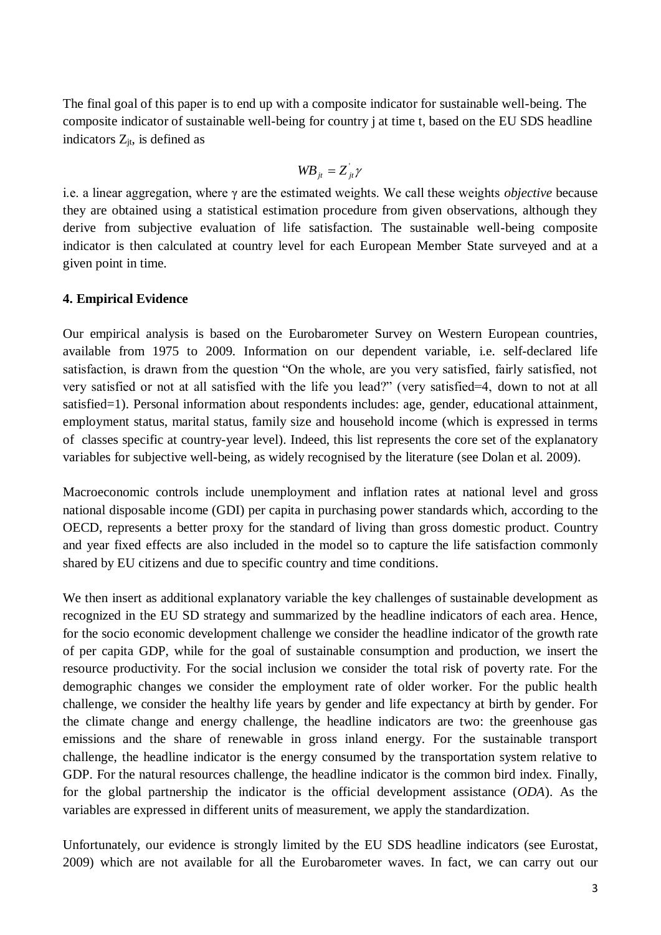The final goal of this paper is to end up with a composite indicator for sustainable well-being. The composite indicator of sustainable well-being for country j at time t, based on the EU SDS headline indicators  $Z_{it}$ , is defined as

$$
W\!B_{it} = Z_{it}^{\dagger} \gamma
$$

i.e. a linear aggregation, where γ are the estimated weights. We call these weights *objective* because they are obtained using a statistical estimation procedure from given observations, although they derive from subjective evaluation of life satisfaction. The sustainable well-being composite indicator is then calculated at country level for each European Member State surveyed and at a given point in time.

### **4. Empirical Evidence**

Our empirical analysis is based on the Eurobarometer Survey on Western European countries, available from 1975 to 2009. Information on our dependent variable, i.e. self-declared life satisfaction, is drawn from the question "On the whole, are you very satisfied, fairly satisfied, not very satisfied or not at all satisfied with the life you lead?" (very satisfied=4, down to not at all satisfied=1). Personal information about respondents includes: age, gender, educational attainment, employment status, marital status, family size and household income (which is expressed in terms of classes specific at country-year level). Indeed, this list represents the core set of the explanatory variables for subjective well-being, as widely recognised by the literature (see Dolan et al. 2009).

Macroeconomic controls include unemployment and inflation rates at national level and gross national disposable income (GDI) per capita in purchasing power standards which, according to the OECD, represents a better proxy for the standard of living than gross domestic product. Country and year fixed effects are also included in the model so to capture the life satisfaction commonly shared by EU citizens and due to specific country and time conditions.

We then insert as additional explanatory variable the key challenges of sustainable development as recognized in the EU SD strategy and summarized by the headline indicators of each area. Hence, for the socio economic development challenge we consider the headline indicator of the growth rate of per capita GDP, while for the goal of sustainable consumption and production, we insert the resource productivity. For the social inclusion we consider the total risk of poverty rate. For the demographic changes we consider the employment rate of older worker. For the public health challenge, we consider the healthy life years by gender and life expectancy at birth by gender. For the climate change and energy challenge, the headline indicators are two: the greenhouse gas emissions and the share of renewable in gross inland energy. For the sustainable transport challenge, the headline indicator is the energy consumed by the transportation system relative to GDP. For the natural resources challenge, the headline indicator is the common bird index. Finally, for the global partnership the indicator is the official development assistance (*ODA*). As the variables are expressed in different units of measurement, we apply the standardization.

Unfortunately, our evidence is strongly limited by the EU SDS headline indicators (see Eurostat, 2009) which are not available for all the Eurobarometer waves. In fact, we can carry out our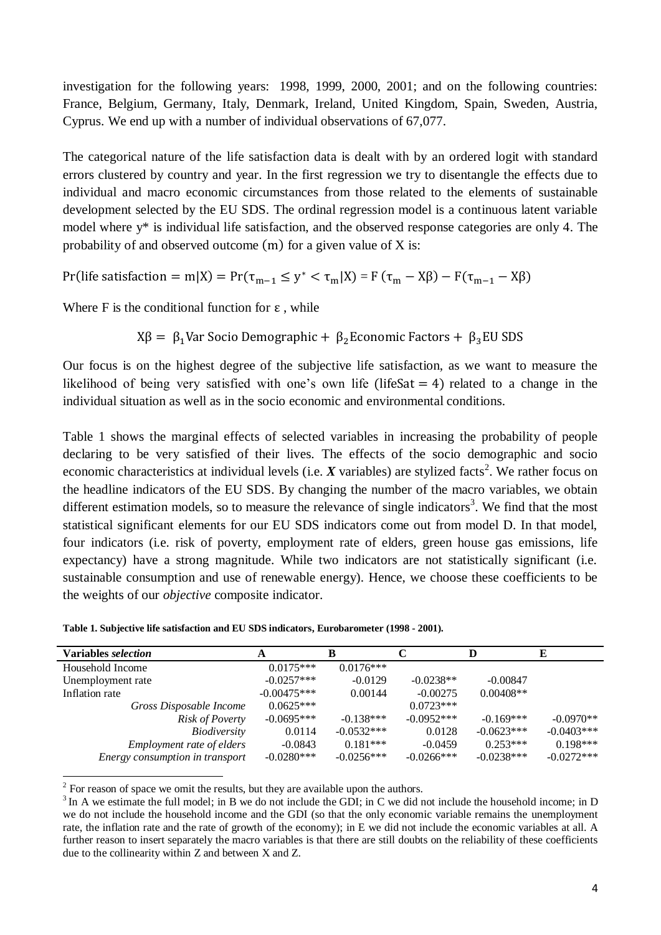investigation for the following years: 1998, 1999, 2000, 2001; and on the following countries: France, Belgium, Germany, Italy, Denmark, Ireland, United Kingdom, Spain, Sweden, Austria, Cyprus. We end up with a number of individual observations of 67,077.

The categorical nature of the life satisfaction data is dealt with by an ordered logit with standard errors clustered by country and year. In the first regression we try to disentangle the effects due to individual and macro economic circumstances from those related to the elements of sustainable development selected by the EU SDS. The ordinal regression model is a continuous latent variable model where y\* is individual life satisfaction, and the observed response categories are only 4. The probability of and observed outcome  $(m)$  for a given value of X is:

Pr(life satisfaction = m|X) = Pr( $\tau_{m-1} \le y^* < \tau_m |X|$ ) = F

Where F is the conditional function for  $\varepsilon$ , while

 $X\beta = \beta_1$ Var Socio Demographic +  $\beta_2$ Economic Factors +  $\beta_3$ EU SDS

Our focus is on the highest degree of the subjective life satisfaction, as we want to measure the likelihood of being very satisfied with one's own life (life Sat  $=$  4) related to a change in the individual situation as well as in the socio economic and environmental conditions.

Table 1 shows the marginal effects of selected variables in increasing the probability of people declaring to be very satisfied of their lives. The effects of the socio demographic and socio economic characteristics at individual levels (i.e. X variables) are stylized facts<sup>2</sup>. We rather focus on the headline indicators of the EU SDS. By changing the number of the macro variables, we obtain different estimation models, so to measure the relevance of single indicators<sup>3</sup>. We find that the most statistical significant elements for our EU SDS indicators come out from model D. In that model, four indicators (i.e. risk of poverty, employment rate of elders, green house gas emissions, life expectancy) have a strong magnitude. While two indicators are not statistically significant (i.e. sustainable consumption and use of renewable energy). Hence, we choose these coefficients to be the weights of our *objective* composite indicator.

| Table 1. Subjective life satisfaction and EU SDS indicators, Eurobarometer (1998 - 2001). |  |
|-------------------------------------------------------------------------------------------|--|
|-------------------------------------------------------------------------------------------|--|

| Variables selection              | A             |              |              |              | E            |
|----------------------------------|---------------|--------------|--------------|--------------|--------------|
| Household Income                 | $0.0175***$   | $0.0176***$  |              |              |              |
| Unemployment rate                | $-0.0257***$  | $-0.0129$    | $-0.0238**$  | $-0.00847$   |              |
| Inflation rate                   | $-0.00475***$ | 0.00144      | $-0.00275$   | $0.00408**$  |              |
| Gross Disposable Income          | $0.0625***$   |              | $0.0723***$  |              |              |
| <i>Risk of Poverty</i>           | $-0.0695***$  | $-0.138***$  | $-0.0952***$ | $-0.169***$  | $-0.0970**$  |
| <i>Biodiversity</i>              | 0.0114        | $-0.0532***$ | 0.0128       | $-0.0623***$ | $-0.0403***$ |
| <i>Employment rate of elders</i> | $-0.0843$     | $0.181***$   | $-0.0459$    | $0.253***$   | $0.198***$   |
| Energy consumption in transport  | $-0.0280***$  | $-0.0256***$ | $-0.0266***$ | $-0.0238***$ | $-0.0272***$ |

<sup>2</sup> For reason of space we omit the results, but they are available upon the authors.

<sup>3</sup> In A we estimate the full model; in B we do not include the GDI; in C we did not include the household income; in D we do not include the household income and the GDI (so that the only economic variable remains the unemployment rate, the inflation rate and the rate of growth of the economy); in E we did not include the economic variables at all. A further reason to insert separately the macro variables is that there are still doubts on the reliability of these coefficients due to the collinearity within Z and between X and Z.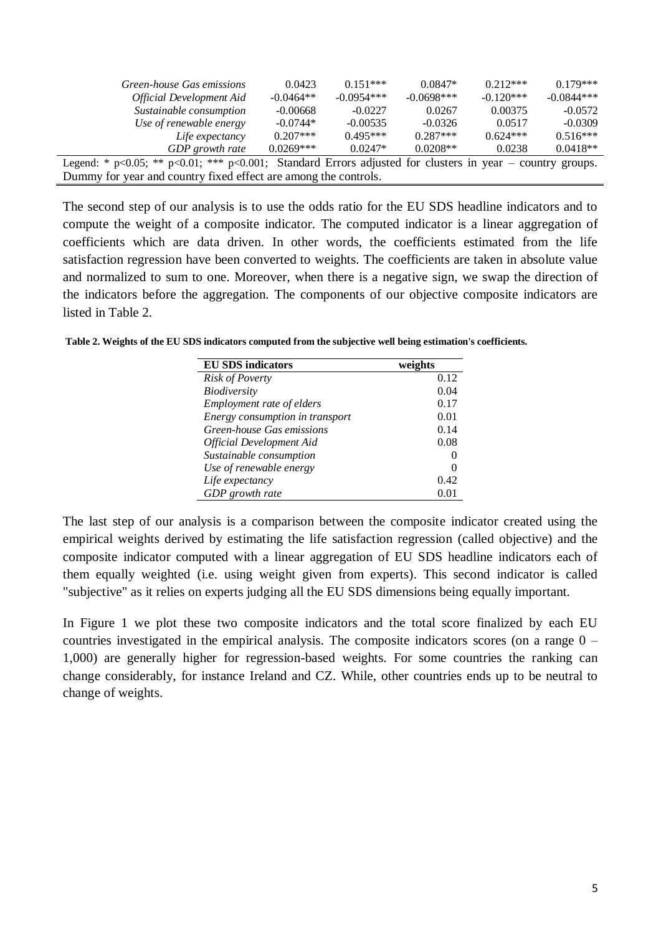| Green-house Gas emissions<br><b>Official Development Aid</b>                                                       | 0.0423<br>$-0.0464**$ | $0.151***$<br>$-0.0954***$ | $0.0847*$<br>$-0.0698***$ | $0.212***$<br>$-0.120***$ | $0.179***$<br>$-0.0844***$ |
|--------------------------------------------------------------------------------------------------------------------|-----------------------|----------------------------|---------------------------|---------------------------|----------------------------|
| Sustainable consumption                                                                                            | $-0.00668$            | $-0.0227$                  | 0.0267                    | 0.00375                   | $-0.0572$                  |
| Use of renewable energy                                                                                            | $-0.0744*$            | $-0.00535$                 | $-0.0326$                 | 0.0517                    | $-0.0309$                  |
| Life expectancy                                                                                                    | $0.207***$            | $0.495***$                 | $0.287***$                | $0.624***$                | $0.516***$                 |
| GDP growth rate                                                                                                    | $0.0269***$           | $0.0247*$                  | $0.0208**$                | 0.0238                    | $0.0418**$                 |
| Legend: * $p<0.05$ ; ** $p<0.01$ ; *** $p<0.001$ ; Standard Errors adjusted for clusters in year – country groups. |                       |                            |                           |                           |                            |
| Dummy for year and country fixed effect are among the controls.                                                    |                       |                            |                           |                           |                            |

The second step of our analysis is to use the odds ratio for the EU SDS headline indicators and to compute the weight of a composite indicator. The computed indicator is a linear aggregation of coefficients which are data driven. In other words, the coefficients estimated from the life satisfaction regression have been converted to weights. The coefficients are taken in absolute value and normalized to sum to one. Moreover, when there is a negative sign, we swap the direction of the indicators before the aggregation. The components of our objective composite indicators are listed in Table 2.

**Table 2. Weights of the EU SDS indicators computed from the subjective well being estimation's coefficients.**

| <b>EU SDS indicators</b>        | weights |
|---------------------------------|---------|
| <b>Risk of Poverty</b>          | 0.12    |
| Biodiversity                    | 0.04    |
| Employment rate of elders       | 0.17    |
| Energy consumption in transport | 0.01    |
| Green-house Gas emissions       | 0.14    |
| <b>Official Development Aid</b> | 0.08    |
| Sustainable consumption         |         |
| Use of renewable energy         |         |
| Life expectancy                 | 0.42    |
| GDP growth rate                 | 0.01    |

The last step of our analysis is a comparison between the composite indicator created using the empirical weights derived by estimating the life satisfaction regression (called objective) and the composite indicator computed with a linear aggregation of EU SDS headline indicators each of them equally weighted (i.e. using weight given from experts). This second indicator is called "subjective" as it relies on experts judging all the EU SDS dimensions being equally important.

In Figure 1 we plot these two composite indicators and the total score finalized by each EU countries investigated in the empirical analysis. The composite indicators scores (on a range 0 – 1,000) are generally higher for regression-based weights. For some countries the ranking can change considerably, for instance Ireland and CZ. While, other countries ends up to be neutral to change of weights.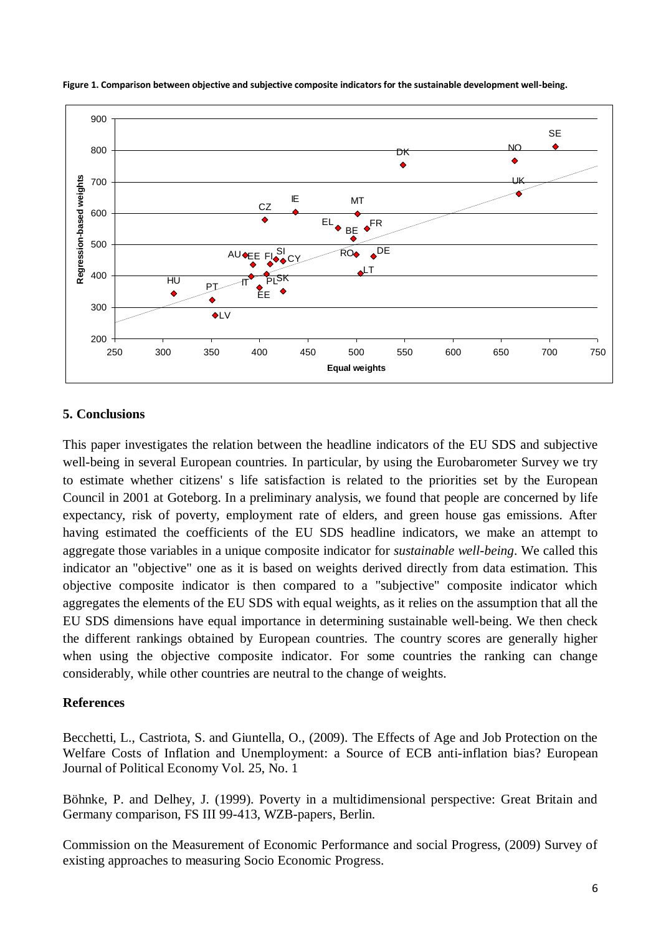

### **5. Conclusions**

This paper investigates the relation between the headline indicators of the EU SDS and subjective well-being in several European countries. In particular, by using the Eurobarometer Survey we try to estimate whether citizens' s life satisfaction is related to the priorities set by the European Council in 2001 at Goteborg. In a preliminary analysis, we found that people are concerned by life expectancy, risk of poverty, employment rate of elders, and green house gas emissions. After having estimated the coefficients of the EU SDS headline indicators, we make an attempt to aggregate those variables in a unique composite indicator for *sustainable well-being*. We called this indicator an "objective" one as it is based on weights derived directly from data estimation. This objective composite indicator is then compared to a "subjective" composite indicator which aggregates the elements of the EU SDS with equal weights, as it relies on the assumption that all the EU SDS dimensions have equal importance in determining sustainable well-being. We then check the different rankings obtained by European countries. The country scores are generally higher when using the objective composite indicator. For some countries the ranking can change considerably, while other countries are neutral to the change of weights.

## **References**

Becchetti, L., Castriota, S. and Giuntella, O., (2009). The Effects of Age and Job Protection on the Welfare Costs of Inflation and Unemployment: a Source of ECB anti-inflation bias? European Journal of Political Economy Vol. 25, No. 1

Böhnke, P. and Delhey, J. (1999). Poverty in a multidimensional perspective: Great Britain and Germany comparison, FS III 99-413, WZB-papers, Berlin.

Commission on the Measurement of Economic Performance and social Progress, (2009) Survey of